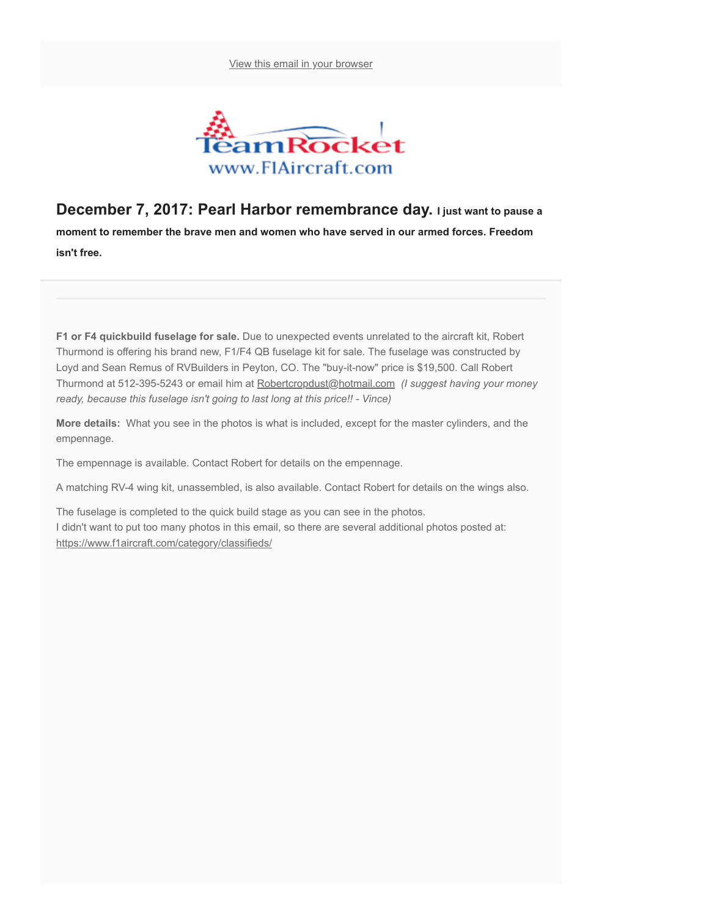[View this email in your browser](https://us17.campaign-archive.com/?e=&u=58034b69d58f092439bcdeda2&id=fb1ec446b9)



## December 7, 2017: Pearl Harbor remembrance day. I just want to pause a

moment to remember the brave men and women who have served in our armed forces. Freedom isn't free.

F1 or F4 quickbuild fuselage for sale. Due to unexpected events unrelated to the aircraft kit, Robert Thurmond is offering his brand new, F1/F4 QB fuselage kit for sale. The fuselage was constructed by Loyd and Sean Remus of RVBuilders in Peyton, CO. The "buy-it-now" price is \$19,500. Call Robert Thurmond at 512-395-5243 or email him at [Robertcropdust@hotmail.com](mailto:Robertcropdust@hotmail.com) (I suggest having your money ready, because this fuselage isn't going to last long at this price!! - Vince)

More details: What you see in the photos is what is included, except for the master cylinders, and the empennage.

The empennage is available. Contact Robert for details on the empennage.

A matching RV-4 wing kit, unassembled, is also available. Contact Robert for details on the wings also.

The fuselage is completed to the quick build stage as you can see in the photos. I didn't want to put too many photos in this email, so there are several additional photos posted at: <https://www.f1aircraft.com/category/classifieds/>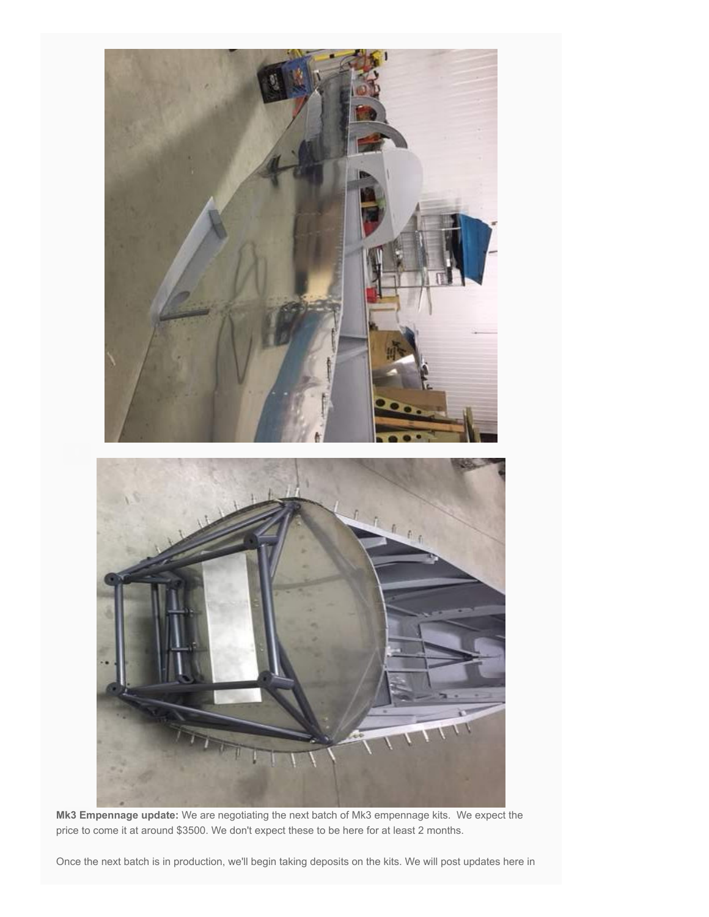

Mk3 Empennage update: We are negotiating the next batch of Mk3 empennage kits. We expect the price to come it at around \$3500. We don't expect these to be here for at least 2 months.

Once the next batch is in production, we'll begin taking deposits on the kits. We will post updates here in